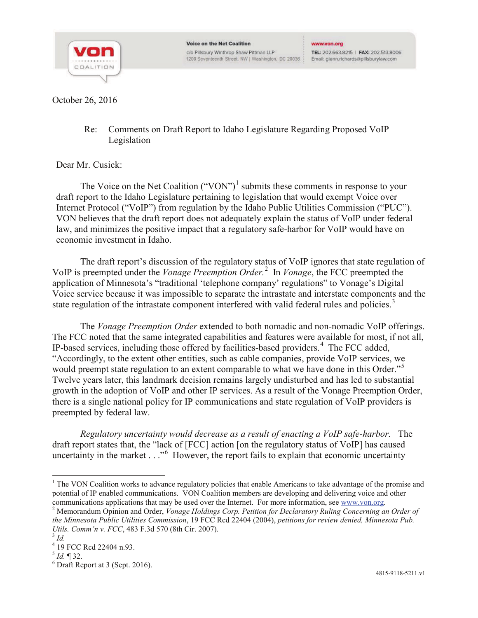

October 26, 2016

Re: Comments on Draft Report to Idaho Legislature Regarding Proposed VoIP Legislation

## Dear Mr. Cusick:

The Voice on the Net Coalition  $("VON")^1$  submits these comments in response to your draft report to the Idaho Legislature pertaining to legislation that would exempt Voice over Internet Protocol ("VoIP") from regulation by the Idaho Public Utilities Commission ("PUC"). VON believes that the draft report does not adequately explain the status of VoIP under federal law, and minimizes the positive impact that a regulatory safe-harbor for VoIP would have on economic investment in Idaho.

The draft report's discussion of the regulatory status of VoIP ignores that state regulation of VoIP is preempted under the *Vonage Preemption Order.* 2 In *Vonage*, the FCC preempted the application of Minnesota's "traditional 'telephone company' regulations" to Vonage's Digital Voice service because it was impossible to separate the intrastate and interstate components and the state regulation of the intrastate component interfered with valid federal rules and policies.<sup>3</sup>

The *Vonage Preemption Order* extended to both nomadic and non-nomadic VoIP offerings. The FCC noted that the same integrated capabilities and features were available for most, if not all, IP-based services, including those offered by facilities-based providers.<sup>4</sup> The FCC added, "Accordingly, to the extent other entities, such as cable companies, provide VoIP services, we would preempt state regulation to an extent comparable to what we have done in this Order."<sup>5</sup> Twelve years later, this landmark decision remains largely undisturbed and has led to substantial growth in the adoption of VoIP and other IP services. As a result of the Vonage Preemption Order, there is a single national policy for IP communications and state regulation of VoIP providers is preempted by federal law.

*Regulatory uncertainty would decrease as a result of enacting a VoIP safe-harbor.* The draft report states that, the "lack of [FCC] action [on the regulatory status of VoIP] has caused uncertainty in the market . . ."<sup>6</sup> However, the report fails to explain that economic uncertainty

 $1$  The VON Coalition works to advance regulatory policies that enable Americans to take advantage of the promise and potential of IP enabled communications. VON Coalition members are developing and delivering voice and other

communications applications that may be used over the Internet. For more information, see www.von.org.<br><sup>2</sup> Memorandum Opinion and Order, *Vonage Holdings Corp. Petition for Declaratory Ruling Concerning an Order of the Minnesota Public Utilities Commission*, 19 FCC Rcd 22404 (2004), *petitions for review denied, Minnesota Pub. Utils. Comm'n v. FCC*, 483 F.3d 570 (8th Cir. 2007). <sup>3</sup> *Id.*

 $^{4}$  19 FCC Rcd 22404 n.93.<br> $^{5}$  *Id.* ¶ 32.

 $<sup>6</sup>$  Draft Report at 3 (Sept. 2016).</sup>